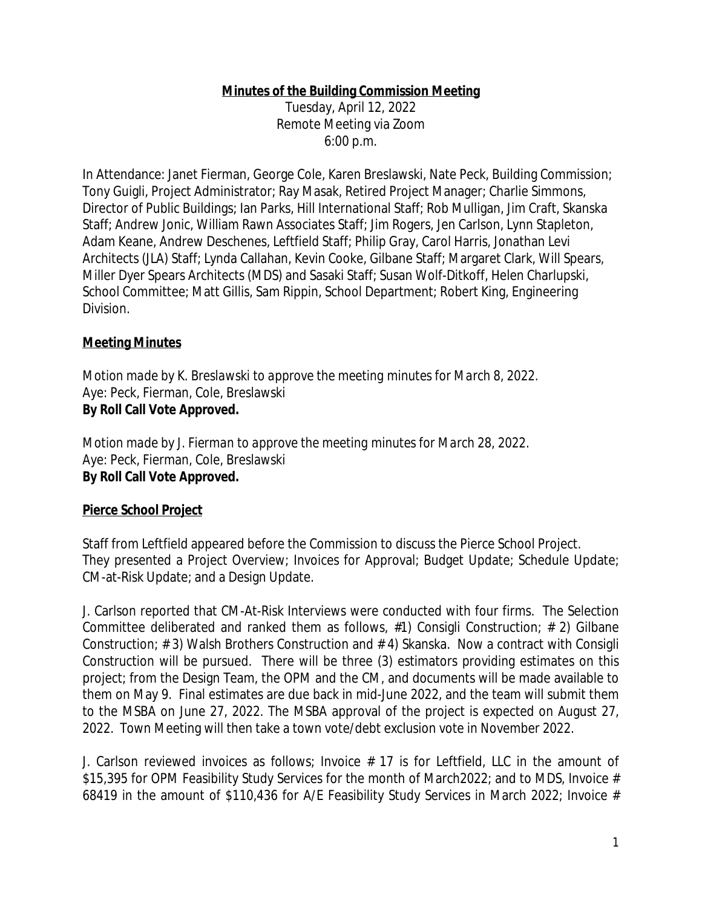### **Minutes of the Building Commission Meeting**

Tuesday, April 12, 2022 Remote Meeting via Zoom 6:00 p.m.

In Attendance: Janet Fierman, George Cole, Karen Breslawski, Nate Peck, Building Commission; Tony Guigli, Project Administrator; Ray Masak, Retired Project Manager; Charlie Simmons, Director of Public Buildings; Ian Parks, Hill International Staff; Rob Mulligan, Jim Craft, Skanska Staff; Andrew Jonic, William Rawn Associates Staff; Jim Rogers, Jen Carlson, Lynn Stapleton, Adam Keane, Andrew Deschenes, Leftfield Staff; Philip Gray, Carol Harris, Jonathan Levi Architects (JLA) Staff; Lynda Callahan, Kevin Cooke, Gilbane Staff; Margaret Clark, Will Spears, Miller Dyer Spears Architects (MDS) and Sasaki Staff; Susan Wolf-Ditkoff, Helen Charlupski, School Committee; Matt Gillis, Sam Rippin, School Department; Robert King, Engineering Division.

### **Meeting Minutes**

*Motion made by K. Breslawski to approve the meeting minutes for March 8, 2022.* Aye: Peck, Fierman, Cole, Breslawski **By Roll Call Vote Approved.**

*Motion made by J. Fierman to approve the meeting minutes for March 28, 2022.* Aye: Peck, Fierman, Cole, Breslawski **By Roll Call Vote Approved.**

### **Pierce School Project**

Staff from Leftfield appeared before the Commission to discuss the Pierce School Project. They presented a Project Overview; Invoices for Approval; Budget Update; Schedule Update; CM-at-Risk Update; and a Design Update.

J. Carlson reported that CM-At-Risk Interviews were conducted with four firms. The Selection Committee deliberated and ranked them as follows, #1) Consigli Construction; # 2) Gilbane Construction; # 3) Walsh Brothers Construction and # 4) Skanska. Now a contract with Consigli Construction will be pursued. There will be three (3) estimators providing estimates on this project; from the Design Team, the OPM and the CM, and documents will be made available to them on May 9. Final estimates are due back in mid-June 2022, and the team will submit them to the MSBA on June 27, 2022. The MSBA approval of the project is expected on August 27, 2022. Town Meeting will then take a town vote/debt exclusion vote in November 2022.

J. Carlson reviewed invoices as follows; Invoice # 17 is for Leftfield, LLC in the amount of \$15,395 for OPM Feasibility Study Services for the month of March2022; and to MDS, Invoice # 68419 in the amount of \$110,436 for A/E Feasibility Study Services in March 2022; Invoice #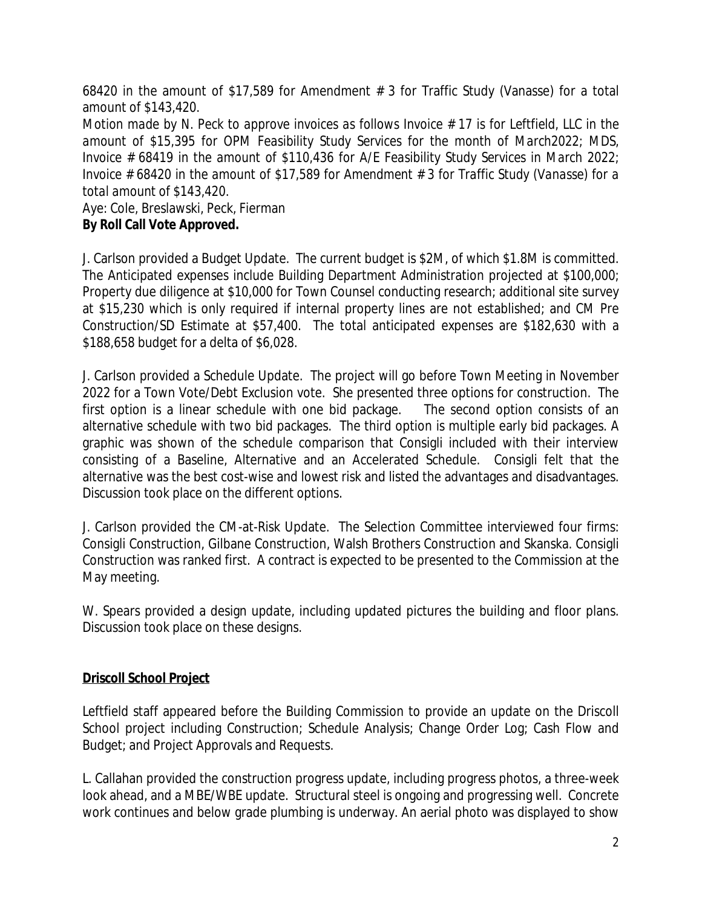68420 in the amount of \$17,589 for Amendment # 3 for Traffic Study (Vanasse) for a total amount of \$143,420.

Motion made by N. Peck to approve invoices as follows Invoice  $# 17$  is for Leftfield, LLC in the *amount of \$15,395 for OPM Feasibility Study Services for the month of March2022; MDS, Invoice # 68419 in the amount of \$110,436 for A/E Feasibility Study Services in March 2022; Invoice # 68420 in the amount of \$17,589 for Amendment # 3 for Traffic Study (Vanasse) for a total amount of \$143,420.*

Aye: Cole, Breslawski, Peck, Fierman **By Roll Call Vote Approved.**

J. Carlson provided a Budget Update. The current budget is \$2M, of which \$1.8M is committed. The Anticipated expenses include Building Department Administration projected at \$100,000; Property due diligence at \$10,000 for Town Counsel conducting research; additional site survey at \$15,230 which is only required if internal property lines are not established; and CM Pre Construction/SD Estimate at \$57,400. The total anticipated expenses are \$182,630 with a \$188,658 budget for a delta of \$6,028.

J. Carlson provided a Schedule Update. The project will go before Town Meeting in November 2022 for a Town Vote/Debt Exclusion vote. She presented three options for construction. The first option is a linear schedule with one bid package. The second option consists of an alternative schedule with two bid packages. The third option is multiple early bid packages. A graphic was shown of the schedule comparison that Consigli included with their interview consisting of a Baseline, Alternative and an Accelerated Schedule. Consigli felt that the alternative was the best cost-wise and lowest risk and listed the advantages and disadvantages. Discussion took place on the different options.

J. Carlson provided the CM-at-Risk Update. The Selection Committee interviewed four firms: Consigli Construction, Gilbane Construction, Walsh Brothers Construction and Skanska. Consigli Construction was ranked first. A contract is expected to be presented to the Commission at the May meeting.

W. Spears provided a design update, including updated pictures the building and floor plans. Discussion took place on these designs.

# **Driscoll School Project**

Leftfield staff appeared before the Building Commission to provide an update on the Driscoll School project including Construction; Schedule Analysis; Change Order Log; Cash Flow and Budget; and Project Approvals and Requests.

L. Callahan provided the construction progress update, including progress photos, a three-week look ahead, and a MBE/WBE update. Structural steel is ongoing and progressing well. Concrete work continues and below grade plumbing is underway. An aerial photo was displayed to show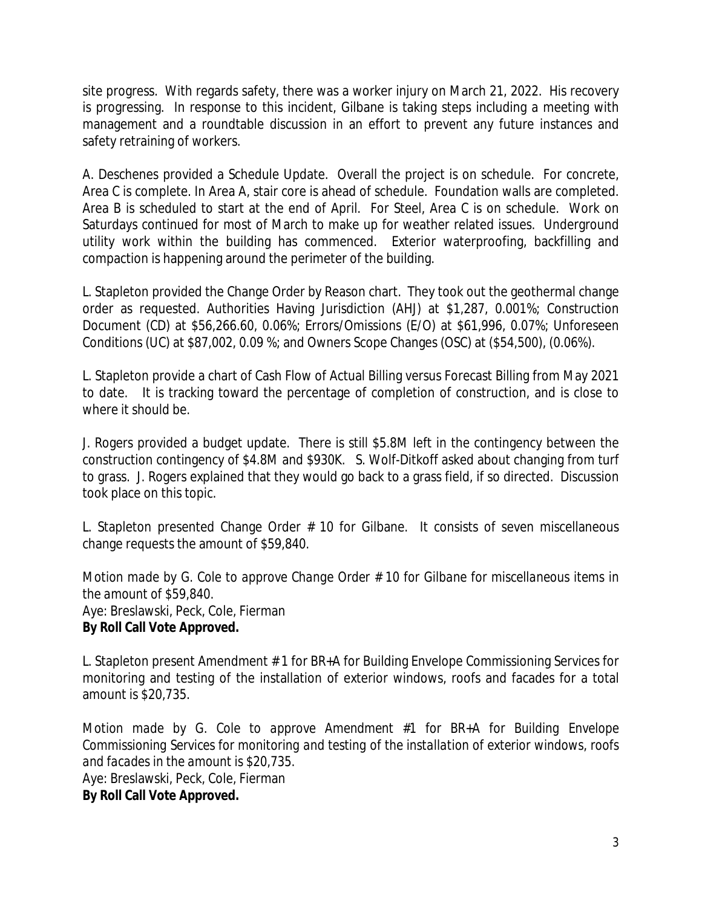site progress. With regards safety, there was a worker injury on March 21, 2022. His recovery is progressing. In response to this incident, Gilbane is taking steps including a meeting with management and a roundtable discussion in an effort to prevent any future instances and safety retraining of workers.

A. Deschenes provided a Schedule Update. Overall the project is on schedule. For concrete, Area C is complete. In Area A, stair core is ahead of schedule. Foundation walls are completed. Area B is scheduled to start at the end of April. For Steel, Area C is on schedule. Work on Saturdays continued for most of March to make up for weather related issues. Underground utility work within the building has commenced. Exterior waterproofing, backfilling and compaction is happening around the perimeter of the building.

L. Stapleton provided the Change Order by Reason chart. They took out the geothermal change order as requested. Authorities Having Jurisdiction (AHJ) at \$1,287, 0.001%; Construction Document (CD) at \$56,266.60, 0.06%; Errors/Omissions (E/O) at \$61,996, 0.07%; Unforeseen Conditions (UC) at \$87,002, 0.09 %; and Owners Scope Changes (OSC) at (\$54,500), (0.06%).

L. Stapleton provide a chart of Cash Flow of Actual Billing versus Forecast Billing from May 2021 to date. It is tracking toward the percentage of completion of construction, and is close to where it should be.

J. Rogers provided a budget update. There is still \$5.8M left in the contingency between the construction contingency of \$4.8M and \$930K. S. Wolf-Ditkoff asked about changing from turf to grass. J. Rogers explained that they would go back to a grass field, if so directed. Discussion took place on this topic.

L. Stapleton presented Change Order # 10 for Gilbane. It consists of seven miscellaneous change requests the amount of \$59,840.

*Motion made by G. Cole to approve Change Order # 10 for Gilbane for miscellaneous items in the amount of \$59,840.* Aye: Breslawski, Peck, Cole, Fierman **By Roll Call Vote Approved.**

L. Stapleton present Amendment # 1 for BR+A for Building Envelope Commissioning Services for monitoring and testing of the installation of exterior windows, roofs and facades for a total amount is \$20,735.

*Motion made by G. Cole to approve Amendment #1 for BR+A for Building Envelope Commissioning Services for monitoring and testing of the installation of exterior windows, roofs and facades in the amount is \$20,735.*  Aye: Breslawski, Peck, Cole, Fierman **By Roll Call Vote Approved.**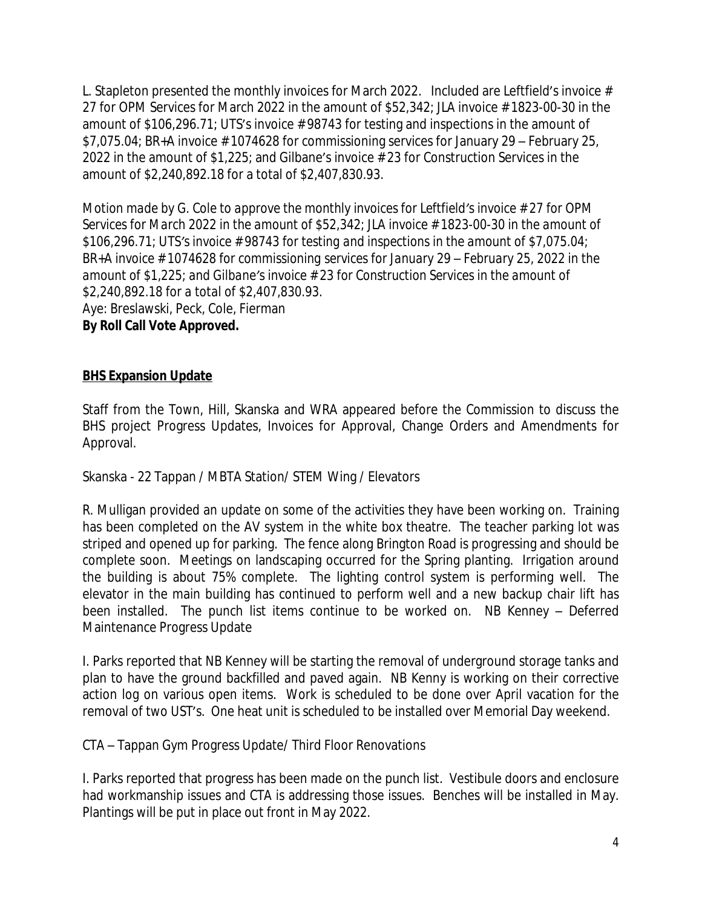L. Stapleton presented the monthly invoices for March 2022. Included are Leftfield's invoice # 27 for OPM Services for March 2022 in the amount of \$52,342; JLA invoice # 1823-00-30 in the amount of \$106,296.71; UTS's invoice # 98743 for testing and inspections in the amount of \$7,075.04; BR+A invoice # 1074628 for commissioning services for January 29 – February 25, 2022 in the amount of \$1,225; and Gilbane's invoice # 23 for Construction Services in the amount of \$2,240,892.18 for a total of \$2,407,830.93.

*Motion made by G. Cole to approve the monthly invoices for Leftfield's invoice # 27 for OPM Services for March 2022 in the amount of \$52,342; JLA invoice # 1823-00-30 in the amount of \$106,296.71; UTS's invoice # 98743 for testing and inspections in the amount of \$7,075.04; BR*+A invoice # 1074628 for commissioning services for January 29 – February 25, 2022 in the *amount of \$1,225; and Gilbane's invoice # 23 for Construction Services in the amount of \$2,240,892.18 for a total of \$2,407,830.93.* Aye: Breslawski, Peck, Cole, Fierman **By Roll Call Vote Approved.**

### **BHS Expansion Update**

Staff from the Town, Hill, Skanska and WRA appeared before the Commission to discuss the BHS project Progress Updates, Invoices for Approval, Change Orders and Amendments for Approval.

Skanska - 22 Tappan / MBTA Station/ STEM Wing / Elevators

R. Mulligan provided an update on some of the activities they have been working on. Training has been completed on the AV system in the white box theatre. The teacher parking lot was striped and opened up for parking. The fence along Brington Road is progressing and should be complete soon. Meetings on landscaping occurred for the Spring planting. Irrigation around the building is about 75% complete. The lighting control system is performing well. The elevator in the main building has continued to perform well and a new backup chair lift has been installed. The punch list items continue to be worked on. NB Kenney – Deferred Maintenance Progress Update

I. Parks reported that NB Kenney will be starting the removal of underground storage tanks and plan to have the ground backfilled and paved again. NB Kenny is working on their corrective action log on various open items. Work is scheduled to be done over April vacation for the removal of two UST's. One heat unit is scheduled to be installed over Memorial Day weekend.

CTA – Tappan Gym Progress Update/ Third Floor Renovations

I. Parks reported that progress has been made on the punch list. Vestibule doors and enclosure had workmanship issues and CTA is addressing those issues. Benches will be installed in May. Plantings will be put in place out front in May 2022.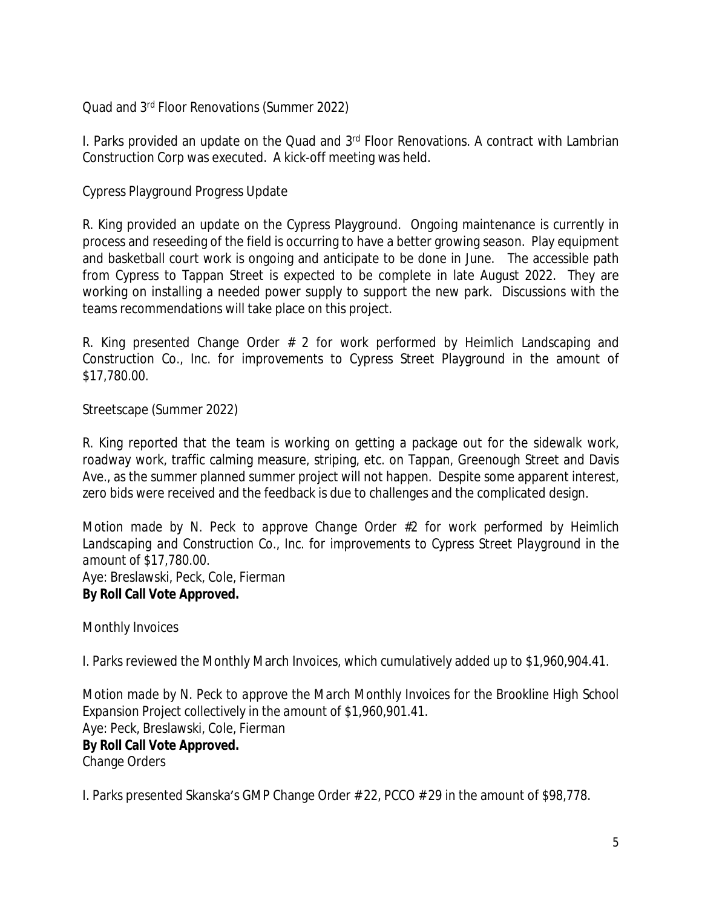Quad and 3rd Floor Renovations (Summer 2022)

I. Parks provided an update on the Quad and 3<sup>rd</sup> Floor Renovations. A contract with Lambrian Construction Corp was executed. A kick-off meeting was held.

Cypress Playground Progress Update

R. King provided an update on the Cypress Playground. Ongoing maintenance is currently in process and reseeding of the field is occurring to have a better growing season. Play equipment and basketball court work is ongoing and anticipate to be done in June. The accessible path from Cypress to Tappan Street is expected to be complete in late August 2022. They are working on installing a needed power supply to support the new park. Discussions with the teams recommendations will take place on this project.

R. King presented Change Order # 2 for work performed by Heimlich Landscaping and Construction Co., Inc. for improvements to Cypress Street Playground in the amount of \$17,780.00.

Streetscape (Summer 2022)

R. King reported that the team is working on getting a package out for the sidewalk work, roadway work, traffic calming measure, striping, etc. on Tappan, Greenough Street and Davis Ave., as the summer planned summer project will not happen. Despite some apparent interest, zero bids were received and the feedback is due to challenges and the complicated design.

*Motion made by N. Peck to approve Change Order #2 for work performed by Heimlich Landscaping and Construction Co., Inc. for improvements to Cypress Street Playground in the amount of \$17,780.00.*  Aye: Breslawski, Peck, Cole, Fierman **By Roll Call Vote Approved.**

Monthly Invoices

I. Parks reviewed the Monthly March Invoices, which cumulatively added up to \$1,960,904.41.

*Motion made by N. Peck to approve the March Monthly Invoices for the Brookline High School Expansion Project collectively in the amount of \$1,960,901.41.* Aye: Peck, Breslawski, Cole, Fierman

### **By Roll Call Vote Approved.**

Change Orders

I. Parks presented Skanska's GMP Change Order # 22, PCCO # 29 in the amount of \$98,778.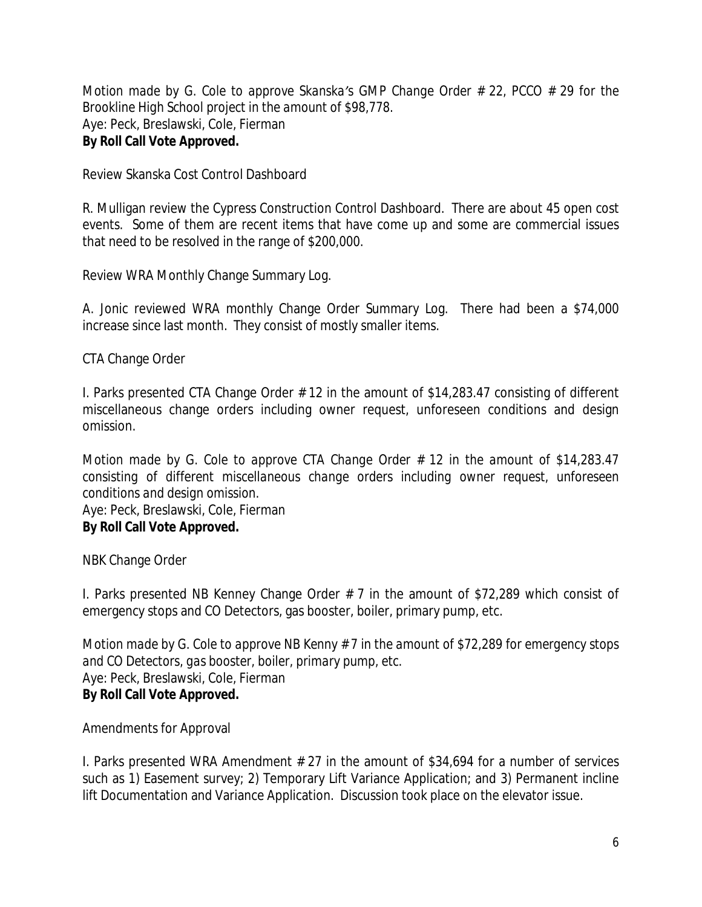*Motion made by G. Cole to approve Skanska's GMP Change Order # 22, PCCO # 29 for the Brookline High School project in the amount of \$98,778.* Aye: Peck, Breslawski, Cole, Fierman **By Roll Call Vote Approved.**

Review Skanska Cost Control Dashboard

R. Mulligan review the Cypress Construction Control Dashboard. There are about 45 open cost events. Some of them are recent items that have come up and some are commercial issues that need to be resolved in the range of \$200,000.

Review WRA Monthly Change Summary Log.

A. Jonic reviewed WRA monthly Change Order Summary Log. There had been a \$74,000 increase since last month. They consist of mostly smaller items.

CTA Change Order

I. Parks presented CTA Change Order # 12 in the amount of \$14,283.47 consisting of different miscellaneous change orders including owner request, unforeseen conditions and design omission.

*Motion made by G. Cole to approve CTA Change Order # 12 in the amount of \$14,283.47 consisting of different miscellaneous change orders including owner request, unforeseen conditions and design omission.* Aye: Peck, Breslawski, Cole, Fierman

# **By Roll Call Vote Approved.**

NBK Change Order

I. Parks presented NB Kenney Change Order # 7 in the amount of \$72,289 which consist of emergency stops and CO Detectors, gas booster, boiler, primary pump, etc.

*Motion made by G. Cole to approve NB Kenny # 7 in the amount of \$72,289 for emergency stops and CO Detectors, gas booster, boiler, primary pump, etc.*  Aye: Peck, Breslawski, Cole, Fierman **By Roll Call Vote Approved.**

Amendments for Approval

I. Parks presented WRA Amendment # 27 in the amount of \$34,694 for a number of services such as 1) Easement survey; 2) Temporary Lift Variance Application; and 3) Permanent incline lift Documentation and Variance Application. Discussion took place on the elevator issue.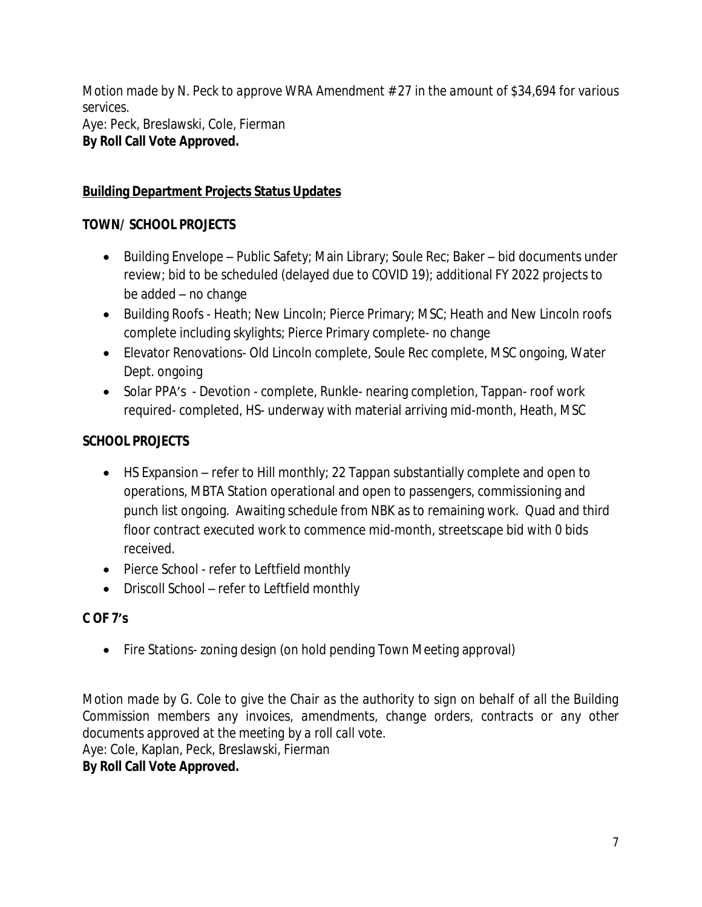*Motion made by N. Peck to approve WRA Amendment # 27 in the amount of \$34,694 for various services.* Aye: Peck, Breslawski, Cole, Fierman **By Roll Call Vote Approved.**

# **Building Department Projects Status Updates**

# **TOWN/ SCHOOL PROJECTS**

- Building Envelope Public Safety; Main Library; Soule Rec; Baker bid documents under review; bid to be scheduled (delayed due to COVID 19); additional FY 2022 projects to be added – no change
- Building Roofs Heath; New Lincoln; Pierce Primary; MSC; Heath and New Lincoln roofs complete including skylights; Pierce Primary complete- no change
- Elevator Renovations- Old Lincoln complete, Soule Rec complete, MSC ongoing, Water Dept. ongoing
- Solar PPA's Devotion complete, Runkle- nearing completion, Tappan- roof work required- completed, HS- underway with material arriving mid-month, Heath, MSC

# **SCHOOL PROJECTS**

- HS Expansion refer to Hill monthly; 22 Tappan substantially complete and open to operations, MBTA Station operational and open to passengers, commissioning and punch list ongoing. Awaiting schedule from NBK as to remaining work. Quad and third floor contract executed work to commence mid-month, streetscape bid with 0 bids received.
- Pierce School refer to Leftfield monthly
- Driscoll School refer to Leftfield monthly

# **C OF 7's**

• Fire Stations- zoning design (on hold pending Town Meeting approval)

Motion made by G. Cole to give the Chair as the authority to sign on behalf of all the Building *Commission members any invoices, amendments, change orders, contracts or any other documents approved at the meeting by a roll call vote.*

Aye: Cole, Kaplan, Peck, Breslawski, Fierman

### **By Roll Call Vote Approved.**